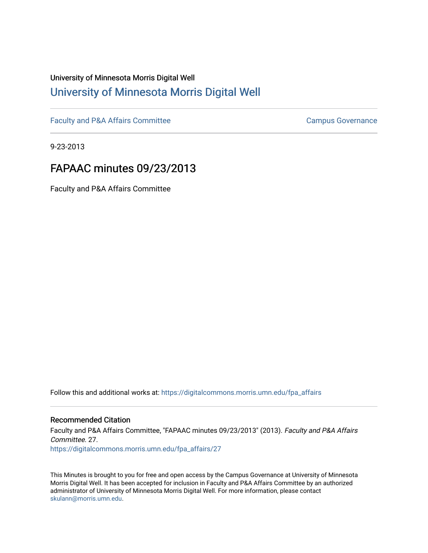# University of Minnesota Morris Digital Well [University of Minnesota Morris Digital Well](https://digitalcommons.morris.umn.edu/)

[Faculty and P&A Affairs Committee](https://digitalcommons.morris.umn.edu/fpa_affairs) [Campus Governance](https://digitalcommons.morris.umn.edu/campgov) Campus Governance

9-23-2013

## FAPAAC minutes 09/23/2013

Faculty and P&A Affairs Committee

Follow this and additional works at: [https://digitalcommons.morris.umn.edu/fpa\\_affairs](https://digitalcommons.morris.umn.edu/fpa_affairs?utm_source=digitalcommons.morris.umn.edu%2Ffpa_affairs%2F27&utm_medium=PDF&utm_campaign=PDFCoverPages)

#### Recommended Citation

Faculty and P&A Affairs Committee, "FAPAAC minutes 09/23/2013" (2013). Faculty and P&A Affairs Committee. 27. [https://digitalcommons.morris.umn.edu/fpa\\_affairs/27](https://digitalcommons.morris.umn.edu/fpa_affairs/27?utm_source=digitalcommons.morris.umn.edu%2Ffpa_affairs%2F27&utm_medium=PDF&utm_campaign=PDFCoverPages) 

This Minutes is brought to you for free and open access by the Campus Governance at University of Minnesota Morris Digital Well. It has been accepted for inclusion in Faculty and P&A Affairs Committee by an authorized administrator of University of Minnesota Morris Digital Well. For more information, please contact [skulann@morris.umn.edu.](mailto:skulann@morris.umn.edu)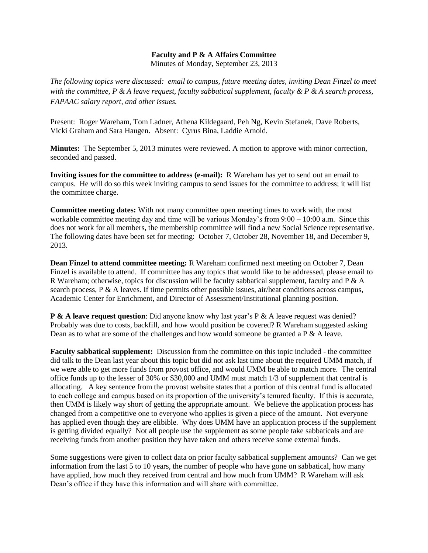### **Faculty and P & A Affairs Committee**

Minutes of Monday, September 23, 2013

*The following topics were discussed: email to campus, future meeting dates, inviting Dean Finzel to meet with the committee, P & A leave request, faculty sabbatical supplement, faculty & P & A search process, FAPAAC salary report, and other issues.*

Present: Roger Wareham, Tom Ladner, Athena Kildegaard, Peh Ng, Kevin Stefanek, Dave Roberts, Vicki Graham and Sara Haugen. Absent: Cyrus Bina, Laddie Arnold.

**Minutes:** The September 5, 2013 minutes were reviewed. A motion to approve with minor correction, seconded and passed.

**Inviting issues for the committee to address (e-mail):** R Wareham has yet to send out an email to campus. He will do so this week inviting campus to send issues for the committee to address; it will list the committee charge.

**Committee meeting dates:** With not many committee open meeting times to work with, the most workable committee meeting day and time will be various Monday's from 9:00 – 10:00 a.m. Since this does not work for all members, the membership committee will find a new Social Science representative. The following dates have been set for meeting: October 7, October 28, November 18, and December 9, 2013.

**Dean Finzel to attend committee meeting:** R Wareham confirmed next meeting on October 7, Dean Finzel is available to attend. If committee has any topics that would like to be addressed, please email to R Wareham; otherwise, topics for discussion will be faculty sabbatical supplement, faculty and P & A search process,  $P \& A$  leaves. If time permits other possible issues, air/heat conditions across campus, Academic Center for Enrichment, and Director of Assessment/Institutional planning position.

**P & A leave request question**: Did anyone know why last year's P & A leave request was denied? Probably was due to costs, backfill, and how would position be covered? R Wareham suggested asking Dean as to what are some of the challenges and how would someone be granted a P & A leave.

**Faculty sabbatical supplement:** Discussion from the committee on this topic included - the committee did talk to the Dean last year about this topic but did not ask last time about the required UMM match, if we were able to get more funds from provost office, and would UMM be able to match more. The central office funds up to the lesser of 30% or \$30,000 and UMM must match 1/3 of supplement that central is allocating. A key sentence from the provost website states that a portion of this central fund is allocated to each college and campus based on its proportion of the university's tenured faculty. If this is accurate, then UMM is likely way short of getting the appropriate amount. We believe the application process has changed from a competitive one to everyone who applies is given a piece of the amount. Not everyone has applied even though they are elibible. Why does UMM have an application process if the supplement is getting divided equally? Not all people use the supplement as some people take sabbaticals and are receiving funds from another position they have taken and others receive some external funds.

Some suggestions were given to collect data on prior faculty sabbatical supplement amounts? Can we get information from the last 5 to 10 years, the number of people who have gone on sabbatical, how many have applied, how much they received from central and how much from UMM? R Wareham will ask Dean's office if they have this information and will share with committee.